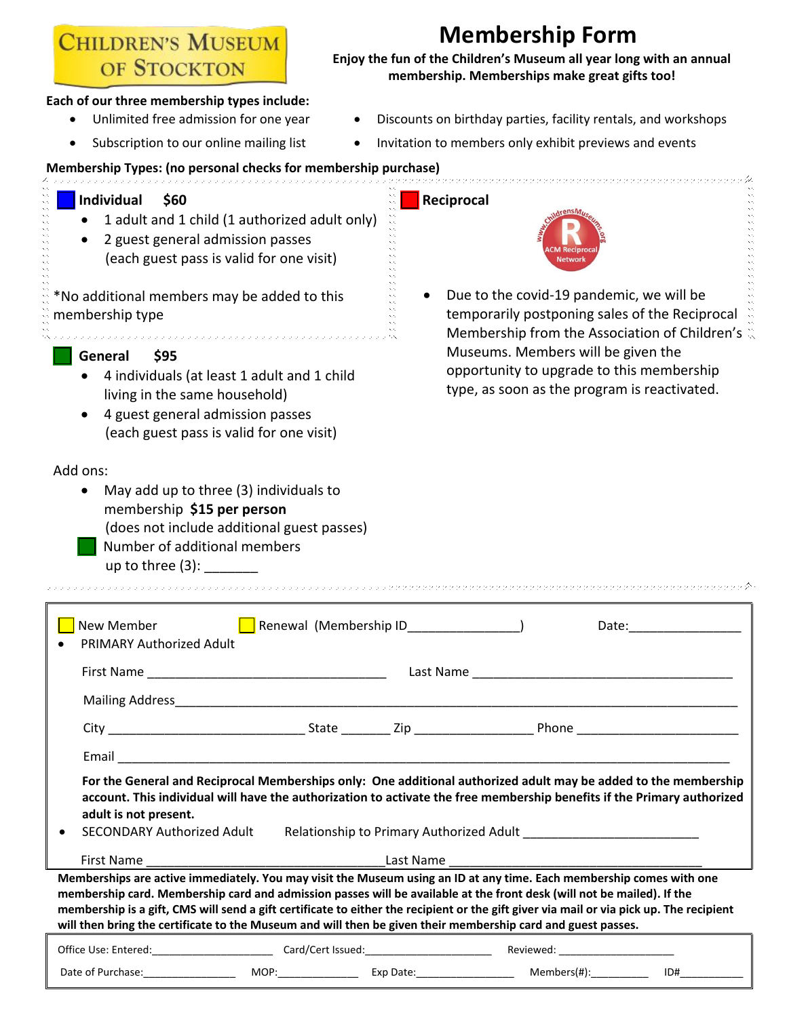**CHILDREN'S MUSEUM** OF STOCKTON

# **Membership Form**

**Enjoy the fun of the Children's Museum all year long with an annual membership. Memberships make great gifts too!**

- **Each of our three membership types include:**
	-
	- Unlimited free admission for one year Discounts on birthday parties, facility rentals, and workshops
		- Subscription to our online mailing list Invitation to members only exhibit previews and events

## **Membership Types: (no personal checks for membership purchase)**

### **Individual \$60 Reciprocal**  • 1 adult and 1 child (1 authorized adult only) • 2 guest general admission passes (each guest pass is valid for one visit) • Due to the covid-19 pandemic, we will be \*No additional members may be added to this temporarily postponing sales of the Reciprocal membership type Membership from the Association of Children's Museums. Members will be given the **General \$95** opportunity to upgrade to this membership • 4 individuals (at least 1 adult and 1 child type, as soon as the program is reactivated. living in the same household) • 4 guest general admission passes (each guest pass is valid for one visit) Add ons: • May add up to three (3) individuals to membership **\$15 per person** (does not include additional guest passes) Number of additional members up to three  $(3)$ : New Member **Renewal (Membership ID** ate: Date: • PRIMARY Authorized Adult First Name **Example 20** and the set of the last Name Last Name and the set of the set of the set of the set of the set of the set of the set of the set of the set of the set of the set of the set of the set of the set of t Mailing Address\_\_\_\_\_\_\_\_\_\_\_\_\_\_\_\_\_\_\_\_\_\_\_\_\_\_\_\_\_\_\_\_\_\_\_\_\_\_\_\_\_\_\_\_\_\_\_\_\_\_\_\_\_\_\_\_\_\_\_\_\_\_\_\_\_\_\_\_\_\_\_\_\_\_\_\_\_\_\_\_ City **Cancell** City **City City City City City City City City City City City City City City City City City City City City City City City City City City City City City**  Email \_\_\_\_\_\_\_\_\_\_\_\_\_\_\_\_\_\_\_\_\_\_\_\_\_\_\_\_\_\_\_\_\_\_\_\_\_\_\_\_\_\_\_\_\_\_\_\_\_\_\_\_\_\_\_\_\_\_\_\_\_\_\_\_\_\_\_\_\_\_\_\_\_\_\_\_\_\_\_\_\_\_\_\_\_\_\_ **For the General and Reciprocal Memberships only: One additional authorized adult may be added to the membership account. This individual will have the authorization to activate the free membership benefits if the Primary authorized adult is not present.**

- 
- SECONDARY Authorized Adult Relationship to Primary Authorized Adult

First Name \_\_\_\_\_\_\_\_\_\_\_\_\_\_\_\_\_\_\_\_\_\_\_\_\_\_\_\_\_\_\_\_\_\_Last Name \_\_\_\_\_\_\_\_\_\_\_\_\_\_\_\_\_\_\_\_\_\_\_\_\_\_\_\_\_\_\_\_\_\_\_\_ **Memberships are active immediately. You may visit the Museum using an ID at any time. Each membership comes with one membership card. Membership card and admission passes will be available at the front desk (will not be mailed). If the membership is a gift, CMS will send a gift certificate to either the recipient or the gift giver via mail or via pick up. The recipient will then bring the certificate to the Museum and will then be given their membership card and guest passes.**

| Office Use:<br><b>Entered</b> | `ard/Cert Issued |          | Reviewed<br>________<br>________ |     |
|-------------------------------|------------------|----------|----------------------------------|-----|
| Date of                       | MOP <sup>.</sup> | Exp Datr | Memher:                          | ID# |